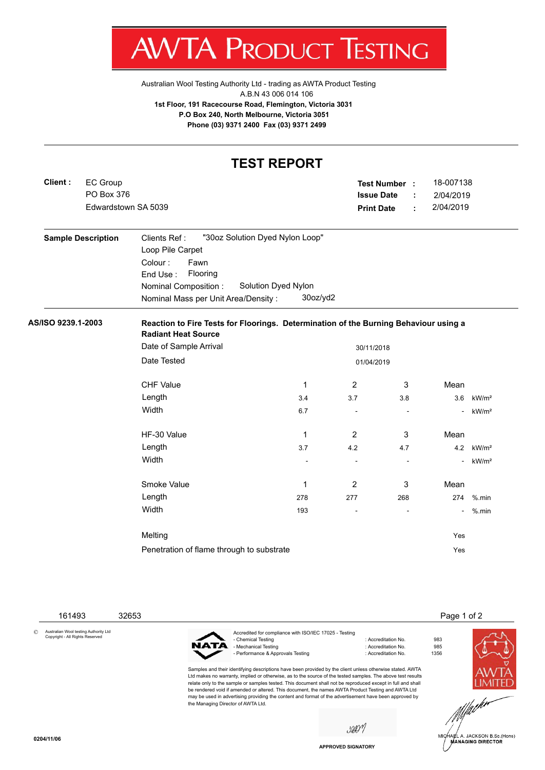AV V IA. r 7RODU JC Ţ IESTING

[Australian Wool Testing Authority Ltd - trading as AWTA Product Testing](http://www.awtaproducttesting.com.au/) A.B.N 43 006 014 106 **1st Floor, 191 Racecourse Road, Flemington, Victoria 3031 P.O Box 240, North Melbourne, Victoria 3051 Phone (03) 9371 2400 Fax (03) 9371 2499**

## **TEST REPORT**

| Client:                   | <b>EC Group</b><br>PO Box 376<br>Edwardstown SA 5039 |                                                                    |              | Test Number :<br><b>Issue Date</b><br><b>Print Date</b> | ÷<br>÷                   | 18-007138<br>2/04/2019<br>2/04/2019 |                   |
|---------------------------|------------------------------------------------------|--------------------------------------------------------------------|--------------|---------------------------------------------------------|--------------------------|-------------------------------------|-------------------|
| <b>Sample Description</b> |                                                      | "30oz Solution Dyed Nylon Loop"<br>Clients Ref:                    |              |                                                         |                          |                                     |                   |
|                           |                                                      | Loop Pile Carpet                                                   |              |                                                         |                          |                                     |                   |
|                           |                                                      | Colour:<br>Fawn                                                    |              |                                                         |                          |                                     |                   |
|                           |                                                      | Flooring<br>End Use:<br>Solution Dyed Nylon                        |              |                                                         |                          |                                     |                   |
|                           |                                                      | Nominal Composition:<br>Nominal Mass per Unit Area/Density:        | 30oz/yd2     |                                                         |                          |                                     |                   |
|                           |                                                      |                                                                    |              |                                                         |                          |                                     |                   |
|                           |                                                      | <b>Radiant Heat Source</b><br>Date of Sample Arrival<br>30/11/2018 |              |                                                         |                          |                                     |                   |
|                           |                                                      | Date Tested<br>01/04/2019                                          |              |                                                         |                          |                                     |                   |
|                           |                                                      | <b>CHF Value</b>                                                   | $\mathbf{1}$ | $\overline{2}$                                          | 3                        | Mean                                |                   |
|                           |                                                      | Length                                                             | 3.4          | 3.7                                                     | 3.8                      | 3.6                                 | kW/m <sup>2</sup> |
|                           |                                                      | Width                                                              | 6.7          | ÷,                                                      | $\blacksquare$           | $\blacksquare$                      | kW/m <sup>2</sup> |
|                           |                                                      | HF-30 Value                                                        | $\mathbf{1}$ | 2                                                       | 3                        | Mean                                |                   |
|                           |                                                      | Length                                                             | 3.7          | 4.2                                                     | 4.7                      |                                     | 4.2 $kW/m2$       |
|                           |                                                      | Width                                                              |              | ÷,                                                      |                          | $\blacksquare$                      | kW/m <sup>2</sup> |
|                           |                                                      | Smoke Value                                                        | $\mathbf 1$  | $\overline{2}$                                          | 3                        | Mean                                |                   |
|                           |                                                      | Length                                                             | 278          | 277                                                     | 268                      | 274                                 | $%$ .min          |
|                           |                                                      | Width                                                              | 193          | $\overline{a}$                                          | $\overline{\phantom{a}}$ | $\overline{\phantom{a}}$            | %.min             |
|                           |                                                      |                                                                    |              |                                                         |                          |                                     |                   |

Melting Yes Penetration of flame through to substrate Yes

161493 32653 **Page 1 of 2** and 2012 16:00 **Page 1 of 2** and 2012 16:00 **Page 1 of 2** Accredited for compliance with ISO/IEC 17025 - Testing : Accreditation No. 983<br>: Accreditation No. 985 МАТА - Mechanical Testing : Accreditation No. 985<br>- Performance & Approvals Testing : Accreditation No. 61356 - Performance & Approvals Testing Samples and their identifying descriptions have been provided by the client unless otherwise stated. AWTA Ltd makes no warranty, implied or otherwise, as to the source of the tested samples. The above test results relate only to the sample or samples tested. This document shall not be reproduced except in full and shall be rendered void if amended or altered. This document, the names AWTA Product Testing and AWTA Ltd may be used in advertising providing the content and format of the advertisement have been approved by the Managing Director of AWTA Ltd.

sûv



.<br>IA∉L A. JACKSON B.Sc.(Hons)<br>MANAGING DIRECTOR

© Australian Wool testing Authority Ltd Copyright - All Rights Reserved

**APPROVED SIGNATORY**